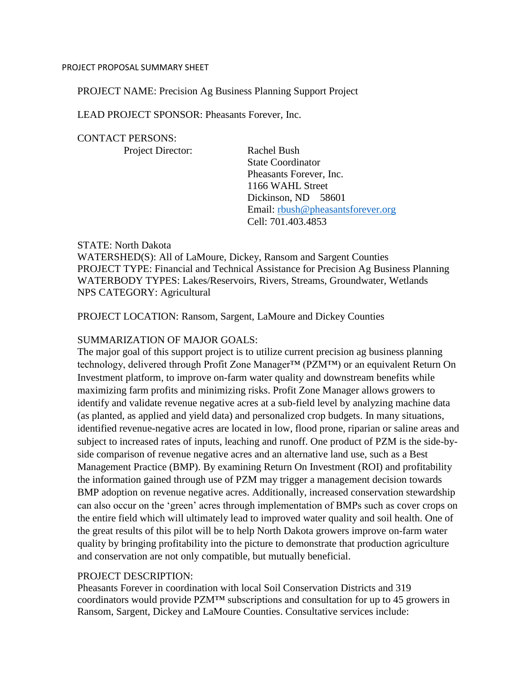#### PROJECT PROPOSAL SUMMARY SHEET

#### PROJECT NAME: Precision Ag Business Planning Support Project

LEAD PROJECT SPONSOR: Pheasants Forever, Inc.

#### CONTACT PERSONS:

Project Director: Rachel Bush

State Coordinator Pheasants Forever, Inc. 1166 WAHL Street Dickinson, ND 58601 Email: [rbush@pheasantsforever.org](mailto:rbush@pheasantsforever.org) Cell: 701.403.4853

#### STATE: North Dakota

WATERSHED(S): All of LaMoure, Dickey, Ransom and Sargent Counties PROJECT TYPE: Financial and Technical Assistance for Precision Ag Business Planning WATERBODY TYPES: Lakes/Reservoirs, Rivers, Streams, Groundwater, Wetlands NPS CATEGORY: Agricultural

#### PROJECT LOCATION: Ransom, Sargent, LaMoure and Dickey Counties

#### SUMMARIZATION OF MAJOR GOALS:

The major goal of this support project is to utilize current precision ag business planning technology, delivered through Profit Zone Manager™ (PZM™) or an equivalent Return On Investment platform, to improve on-farm water quality and downstream benefits while maximizing farm profits and minimizing risks. Profit Zone Manager allows growers to identify and validate revenue negative acres at a sub-field level by analyzing machine data (as planted, as applied and yield data) and personalized crop budgets. In many situations, identified revenue-negative acres are located in low, flood prone, riparian or saline areas and subject to increased rates of inputs, leaching and runoff. One product of PZM is the side-byside comparison of revenue negative acres and an alternative land use, such as a Best Management Practice (BMP). By examining Return On Investment (ROI) and profitability the information gained through use of PZM may trigger a management decision towards BMP adoption on revenue negative acres. Additionally, increased conservation stewardship can also occur on the 'green' acres through implementation of BMPs such as cover crops on the entire field which will ultimately lead to improved water quality and soil health. One of the great results of this pilot will be to help North Dakota growers improve on-farm water quality by bringing profitability into the picture to demonstrate that production agriculture and conservation are not only compatible, but mutually beneficial.

#### PROJECT DESCRIPTION:

Pheasants Forever in coordination with local Soil Conservation Districts and 319 coordinators would provide PZM™ subscriptions and consultation for up to 45 growers in Ransom, Sargent, Dickey and LaMoure Counties. Consultative services include: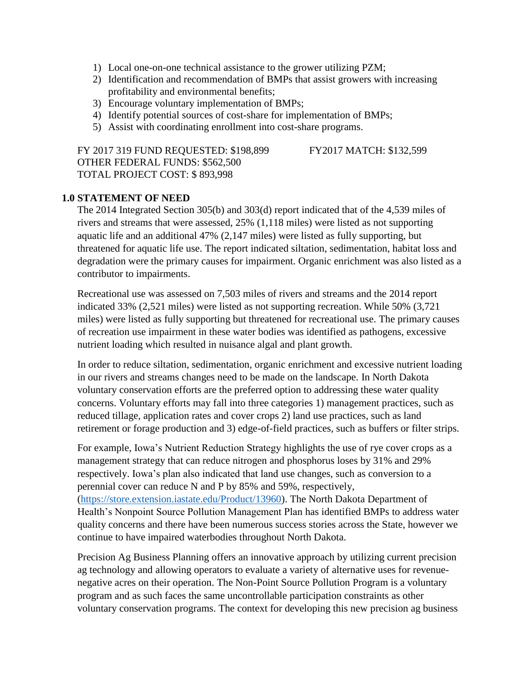- 1) Local one-on-one technical assistance to the grower utilizing PZM;
- 2) Identification and recommendation of BMPs that assist growers with increasing profitability and environmental benefits;
- 3) Encourage voluntary implementation of BMPs;
- 4) Identify potential sources of cost-share for implementation of BMPs;
- 5) Assist with coordinating enrollment into cost-share programs.

FY 2017 319 FUND REQUESTED: \$198,899 FY2017 MATCH: \$132,599 OTHER FEDERAL FUNDS: \$562,500 TOTAL PROJECT COST: \$ 893,998

#### **1.0 STATEMENT OF NEED**

The 2014 Integrated Section 305(b) and 303(d) report indicated that of the 4,539 miles of rivers and streams that were assessed, 25% (1,118 miles) were listed as not supporting aquatic life and an additional 47% (2,147 miles) were listed as fully supporting, but threatened for aquatic life use. The report indicated siltation, sedimentation, habitat loss and degradation were the primary causes for impairment. Organic enrichment was also listed as a contributor to impairments.

Recreational use was assessed on 7,503 miles of rivers and streams and the 2014 report indicated 33% (2,521 miles) were listed as not supporting recreation. While 50% (3,721 miles) were listed as fully supporting but threatened for recreational use. The primary causes of recreation use impairment in these water bodies was identified as pathogens, excessive nutrient loading which resulted in nuisance algal and plant growth.

In order to reduce siltation, sedimentation, organic enrichment and excessive nutrient loading in our rivers and streams changes need to be made on the landscape. In North Dakota voluntary conservation efforts are the preferred option to addressing these water quality concerns. Voluntary efforts may fall into three categories 1) management practices, such as reduced tillage, application rates and cover crops 2) land use practices, such as land retirement or forage production and 3) edge-of-field practices, such as buffers or filter strips.

For example, Iowa's Nutrient Reduction Strategy highlights the use of rye cover crops as a management strategy that can reduce nitrogen and phosphorus loses by 31% and 29% respectively. Iowa's plan also indicated that land use changes, such as conversion to a perennial cover can reduce N and P by 85% and 59%, respectively, [\(https://store.extension.iastate.edu/Product/13960\)](https://store.extension.iastate.edu/Product/13960). The North Dakota Department of Health's Nonpoint Source Pollution Management Plan has identified BMPs to address water quality concerns and there have been numerous success stories across the State, however we continue to have impaired waterbodies throughout North Dakota.

Precision Ag Business Planning offers an innovative approach by utilizing current precision ag technology and allowing operators to evaluate a variety of alternative uses for revenuenegative acres on their operation. The Non-Point Source Pollution Program is a voluntary program and as such faces the same uncontrollable participation constraints as other voluntary conservation programs. The context for developing this new precision ag business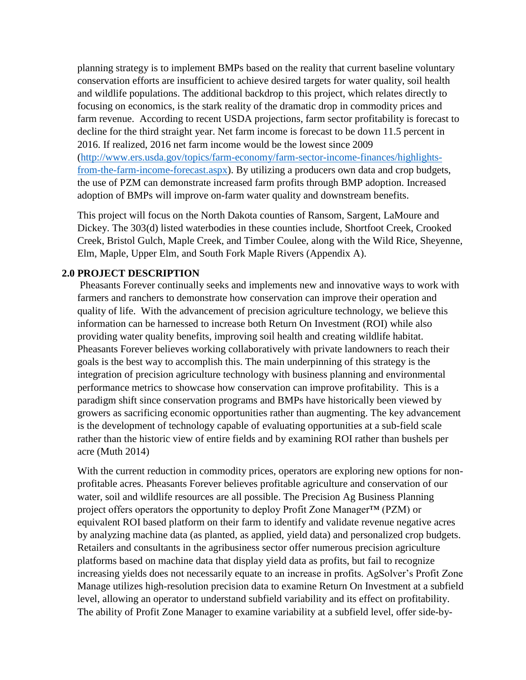planning strategy is to implement BMPs based on the reality that current baseline voluntary conservation efforts are insufficient to achieve desired targets for water quality, soil health and wildlife populations. The additional backdrop to this project, which relates directly to focusing on economics, is the stark reality of the dramatic drop in commodity prices and farm revenue. According to recent USDA projections, farm sector profitability is forecast to decline for the third straight year. Net farm income is forecast to be down 11.5 percent in 2016. If realized, 2016 net farm income would be the lowest since 2009 [\(http://www.ers.usda.gov/topics/farm-economy/farm-sector-income-finances/highlights](http://www.ers.usda.gov/topics/farm-economy/farm-sector-income-finances/highlights-from-the-farm-income-forecast.aspx)[from-the-farm-income-forecast.aspx\)](http://www.ers.usda.gov/topics/farm-economy/farm-sector-income-finances/highlights-from-the-farm-income-forecast.aspx). By utilizing a producers own data and crop budgets, the use of PZM can demonstrate increased farm profits through BMP adoption. Increased adoption of BMPs will improve on-farm water quality and downstream benefits.

This project will focus on the North Dakota counties of Ransom, Sargent, LaMoure and Dickey. The 303(d) listed waterbodies in these counties include, Shortfoot Creek, Crooked Creek, Bristol Gulch, Maple Creek, and Timber Coulee, along with the Wild Rice, Sheyenne, Elm, Maple, Upper Elm, and South Fork Maple Rivers (Appendix A).

#### **2.0 PROJECT DESCRIPTION**

Pheasants Forever continually seeks and implements new and innovative ways to work with farmers and ranchers to demonstrate how conservation can improve their operation and quality of life. With the advancement of precision agriculture technology, we believe this information can be harnessed to increase both Return On Investment (ROI) while also providing water quality benefits, improving soil health and creating wildlife habitat. Pheasants Forever believes working collaboratively with private landowners to reach their goals is the best way to accomplish this. The main underpinning of this strategy is the integration of precision agriculture technology with business planning and environmental performance metrics to showcase how conservation can improve profitability. This is a paradigm shift since conservation programs and BMPs have historically been viewed by growers as sacrificing economic opportunities rather than augmenting. The key advancement is the development of technology capable of evaluating opportunities at a sub-field scale rather than the historic view of entire fields and by examining ROI rather than bushels per acre (Muth 2014)

With the current reduction in commodity prices, operators are exploring new options for nonprofitable acres. Pheasants Forever believes profitable agriculture and conservation of our water, soil and wildlife resources are all possible. The Precision Ag Business Planning project offers operators the opportunity to deploy Profit Zone Manager<sup>™</sup> (PZM) or equivalent ROI based platform on their farm to identify and validate revenue negative acres by analyzing machine data (as planted, as applied, yield data) and personalized crop budgets. Retailers and consultants in the agribusiness sector offer numerous precision agriculture platforms based on machine data that display yield data as profits, but fail to recognize increasing yields does not necessarily equate to an increase in profits. AgSolver's Profit Zone Manage utilizes high-resolution precision data to examine Return On Investment at a subfield level, allowing an operator to understand subfield variability and its effect on profitability. The ability of Profit Zone Manager to examine variability at a subfield level, offer side-by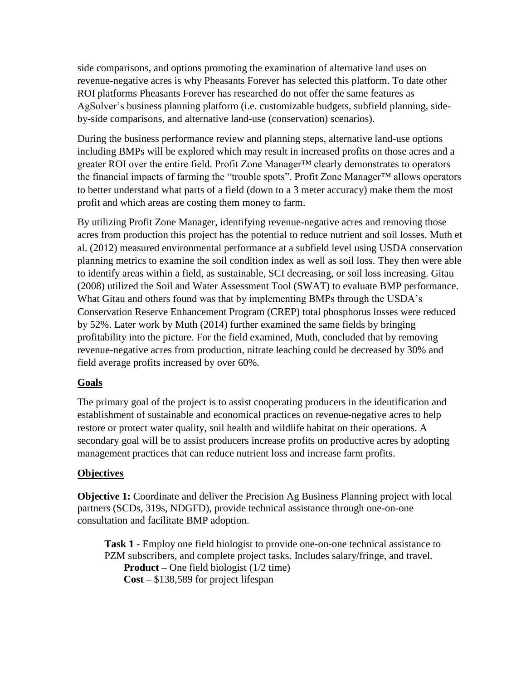side comparisons, and options promoting the examination of alternative land uses on revenue-negative acres is why Pheasants Forever has selected this platform. To date other ROI platforms Pheasants Forever has researched do not offer the same features as AgSolver's business planning platform (i.e. customizable budgets, subfield planning, sideby-side comparisons, and alternative land-use (conservation) scenarios).

During the business performance review and planning steps, alternative land-use options including BMPs will be explored which may result in increased profits on those acres and a greater ROI over the entire field. Profit Zone Manager<sup>™</sup> clearly demonstrates to operators the financial impacts of farming the "trouble spots". Profit Zone Manager™ allows operators to better understand what parts of a field (down to a 3 meter accuracy) make them the most profit and which areas are costing them money to farm.

By utilizing Profit Zone Manager, identifying revenue-negative acres and removing those acres from production this project has the potential to reduce nutrient and soil losses. Muth et al. (2012) measured environmental performance at a subfield level using USDA conservation planning metrics to examine the soil condition index as well as soil loss. They then were able to identify areas within a field, as sustainable, SCI decreasing, or soil loss increasing. Gitau (2008) utilized the Soil and Water Assessment Tool (SWAT) to evaluate BMP performance. What Gitau and others found was that by implementing BMPs through the USDA's Conservation Reserve Enhancement Program (CREP) total phosphorus losses were reduced by 52%. Later work by Muth (2014) further examined the same fields by bringing profitability into the picture. For the field examined, Muth, concluded that by removing revenue-negative acres from production, nitrate leaching could be decreased by 30% and field average profits increased by over 60%.

# **Goals**

The primary goal of the project is to assist cooperating producers in the identification and establishment of sustainable and economical practices on revenue-negative acres to help restore or protect water quality, soil health and wildlife habitat on their operations. A secondary goal will be to assist producers increase profits on productive acres by adopting management practices that can reduce nutrient loss and increase farm profits.

# **Objectives**

**Objective 1:** Coordinate and deliver the Precision Ag Business Planning project with local partners (SCDs, 319s, NDGFD), provide technical assistance through one-on-one consultation and facilitate BMP adoption.

**Task 1 -** Employ one field biologist to provide one-on-one technical assistance to PZM subscribers, and complete project tasks. Includes salary/fringe, and travel. **Product –** One field biologist (1/2 time) **Cost –** \$138,589 for project lifespan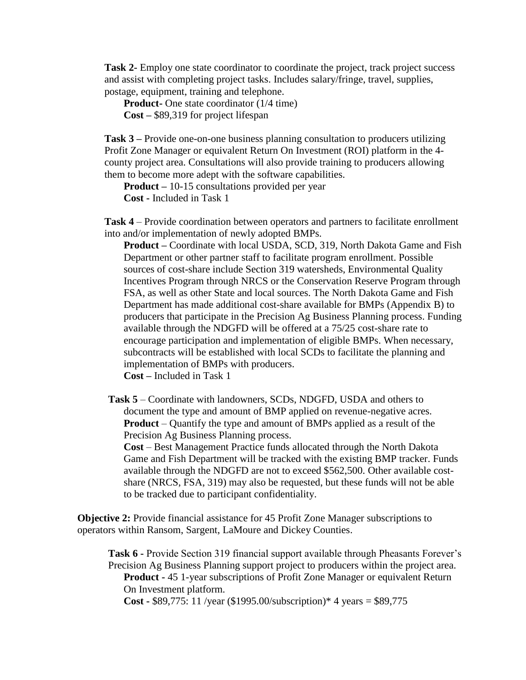**Task 2-** Employ one state coordinator to coordinate the project, track project success and assist with completing project tasks. Includes salary/fringe, travel, supplies, postage, equipment, training and telephone.

**Product-** One state coordinator (1/4 time) **Cost –** \$89,319 for project lifespan

**Task 3 –** Provide one-on-one business planning consultation to producers utilizing Profit Zone Manager or equivalent Return On Investment (ROI) platform in the 4 county project area. Consultations will also provide training to producers allowing them to become more adept with the software capabilities.

**Product –** 10-15 consultations provided per year **Cost -** Included in Task 1

**Task 4** – Provide coordination between operators and partners to facilitate enrollment into and/or implementation of newly adopted BMPs.

**Product –** Coordinate with local USDA, SCD, 319, North Dakota Game and Fish Department or other partner staff to facilitate program enrollment. Possible sources of cost-share include Section 319 watersheds, Environmental Quality Incentives Program through NRCS or the Conservation Reserve Program through FSA, as well as other State and local sources. The North Dakota Game and Fish Department has made additional cost-share available for BMPs (Appendix B) to producers that participate in the Precision Ag Business Planning process. Funding available through the NDGFD will be offered at a 75/25 cost-share rate to encourage participation and implementation of eligible BMPs. When necessary, subcontracts will be established with local SCDs to facilitate the planning and implementation of BMPs with producers.

**Cost –** Included in Task 1

**Task 5** – Coordinate with landowners, SCDs, NDGFD, USDA and others to document the type and amount of BMP applied on revenue-negative acres. **Product** – Quantify the type and amount of BMPs applied as a result of the Precision Ag Business Planning process.

**Cost** – Best Management Practice funds allocated through the North Dakota Game and Fish Department will be tracked with the existing BMP tracker. Funds available through the NDGFD are not to exceed \$562,500. Other available costshare (NRCS, FSA, 319) may also be requested, but these funds will not be able to be tracked due to participant confidentiality.

**Objective 2:** Provide financial assistance for 45 Profit Zone Manager subscriptions to operators within Ransom, Sargent, LaMoure and Dickey Counties.

**Task 6 -** Provide Section 319 financial support available through Pheasants Forever's Precision Ag Business Planning support project to producers within the project area. **Product -** 45 1-year subscriptions of Profit Zone Manager or equivalent Return On Investment platform. **Cost -** \$89,775: 11 /year (\$1995.00/subscription)\* 4 years = \$89,775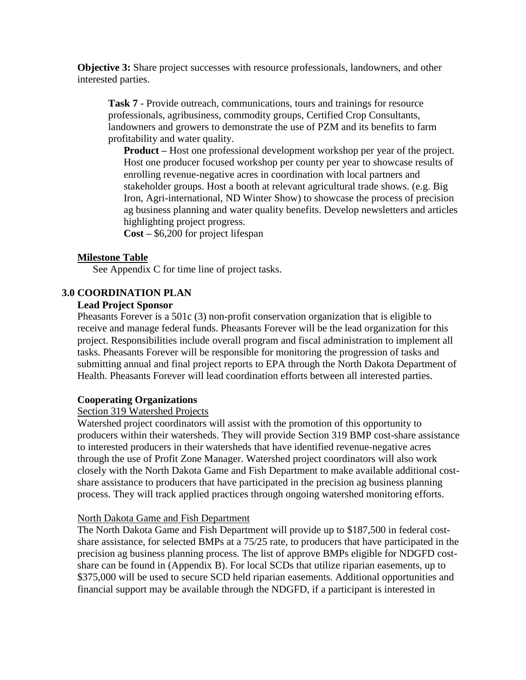**Objective 3:** Share project successes with resource professionals, landowners, and other interested parties.

**Task 7** - Provide outreach, communications, tours and trainings for resource professionals, agribusiness, commodity groups, Certified Crop Consultants, landowners and growers to demonstrate the use of PZM and its benefits to farm profitability and water quality.

**Product –** Host one professional development workshop per year of the project. Host one producer focused workshop per county per year to showcase results of enrolling revenue-negative acres in coordination with local partners and stakeholder groups. Host a booth at relevant agricultural trade shows. (e.g. Big Iron, Agri-international, ND Winter Show) to showcase the process of precision ag business planning and water quality benefits. Develop newsletters and articles highlighting project progress.

**Cost –** \$6,200 for project lifespan

#### **Milestone Table**

See Appendix C for time line of project tasks.

## **3.0 COORDINATION PLAN**

#### **Lead Project Sponsor**

Pheasants Forever is a 501c (3) non-profit conservation organization that is eligible to receive and manage federal funds. Pheasants Forever will be the lead organization for this project. Responsibilities include overall program and fiscal administration to implement all tasks. Pheasants Forever will be responsible for monitoring the progression of tasks and submitting annual and final project reports to EPA through the North Dakota Department of Health. Pheasants Forever will lead coordination efforts between all interested parties.

#### **Cooperating Organizations**

#### Section 319 Watershed Projects

Watershed project coordinators will assist with the promotion of this opportunity to producers within their watersheds. They will provide Section 319 BMP cost-share assistance to interested producers in their watersheds that have identified revenue-negative acres through the use of Profit Zone Manager. Watershed project coordinators will also work closely with the North Dakota Game and Fish Department to make available additional costshare assistance to producers that have participated in the precision ag business planning process. They will track applied practices through ongoing watershed monitoring efforts.

#### North Dakota Game and Fish Department

The North Dakota Game and Fish Department will provide up to \$187,500 in federal costshare assistance, for selected BMPs at a 75/25 rate, to producers that have participated in the precision ag business planning process. The list of approve BMPs eligible for NDGFD costshare can be found in (Appendix B). For local SCDs that utilize riparian easements, up to \$375,000 will be used to secure SCD held riparian easements. Additional opportunities and financial support may be available through the NDGFD, if a participant is interested in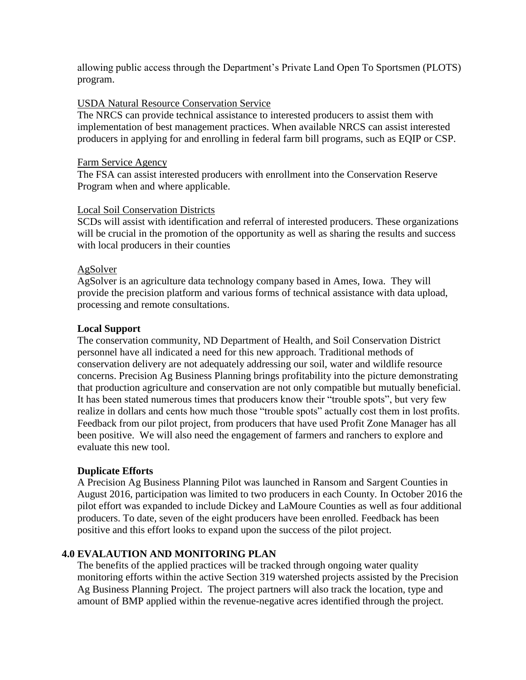allowing public access through the Department's Private Land Open To Sportsmen (PLOTS) program.

### USDA Natural Resource Conservation Service

The NRCS can provide technical assistance to interested producers to assist them with implementation of best management practices. When available NRCS can assist interested producers in applying for and enrolling in federal farm bill programs, such as EQIP or CSP.

#### Farm Service Agency

The FSA can assist interested producers with enrollment into the Conservation Reserve Program when and where applicable.

## Local Soil Conservation Districts

SCDs will assist with identification and referral of interested producers. These organizations will be crucial in the promotion of the opportunity as well as sharing the results and success with local producers in their counties

#### AgSolver

AgSolver is an agriculture data technology company based in Ames, Iowa. They will provide the precision platform and various forms of technical assistance with data upload, processing and remote consultations.

## **Local Support**

The conservation community, ND Department of Health, and Soil Conservation District personnel have all indicated a need for this new approach. Traditional methods of conservation delivery are not adequately addressing our soil, water and wildlife resource concerns. Precision Ag Business Planning brings profitability into the picture demonstrating that production agriculture and conservation are not only compatible but mutually beneficial. It has been stated numerous times that producers know their "trouble spots", but very few realize in dollars and cents how much those "trouble spots" actually cost them in lost profits. Feedback from our pilot project, from producers that have used Profit Zone Manager has all been positive. We will also need the engagement of farmers and ranchers to explore and evaluate this new tool.

#### **Duplicate Efforts**

A Precision Ag Business Planning Pilot was launched in Ransom and Sargent Counties in August 2016, participation was limited to two producers in each County. In October 2016 the pilot effort was expanded to include Dickey and LaMoure Counties as well as four additional producers. To date, seven of the eight producers have been enrolled. Feedback has been positive and this effort looks to expand upon the success of the pilot project.

# **4.0 EVALAUTION AND MONITORING PLAN**

The benefits of the applied practices will be tracked through ongoing water quality monitoring efforts within the active Section 319 watershed projects assisted by the Precision Ag Business Planning Project. The project partners will also track the location, type and amount of BMP applied within the revenue-negative acres identified through the project.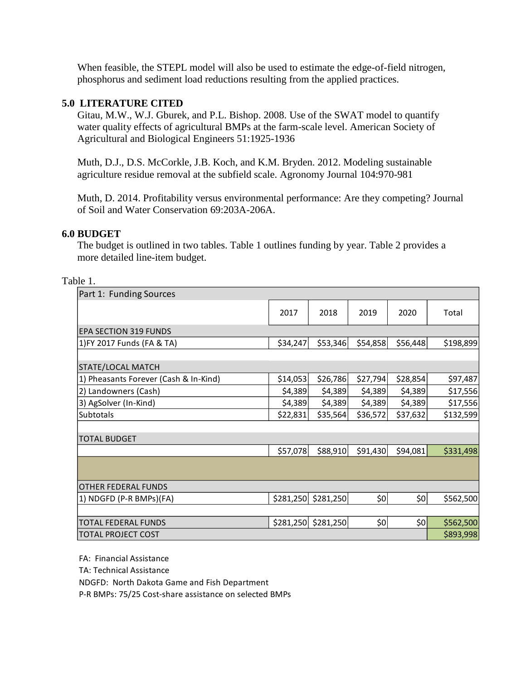When feasible, the STEPL model will also be used to estimate the edge-of-field nitrogen, phosphorus and sediment load reductions resulting from the applied practices.

## **5.0 LITERATURE CITED**

Gitau, M.W., W.J. Gburek, and P.L. Bishop. 2008. Use of the SWAT model to quantify water quality effects of agricultural BMPs at the farm-scale level. American Society of Agricultural and Biological Engineers 51:1925-1936

Muth, D.J., D.S. McCorkle, J.B. Koch, and K.M. Bryden. 2012. Modeling sustainable agriculture residue removal at the subfield scale. Agronomy Journal 104:970-981

Muth, D. 2014. Profitability versus environmental performance: Are they competing? Journal of Soil and Water Conservation 69:203A-206A.

#### **6.0 BUDGET**

The budget is outlined in two tables. Table 1 outlines funding by year. Table 2 provides a more detailed line-item budget.

#### Table 1.

| Part 1: Funding Sources               |           |           |          |          |           |
|---------------------------------------|-----------|-----------|----------|----------|-----------|
|                                       | 2017      | 2018      | 2019     | 2020     | Total     |
| <b>EPA SECTION 319 FUNDS</b>          |           |           |          |          |           |
| 1) FY 2017 Funds (FA & TA)            | \$34,247  | \$53,346  | \$54,858 | \$56,448 | \$198,899 |
|                                       |           |           |          |          |           |
| STATE/LOCAL MATCH                     |           |           |          |          |           |
| 1) Pheasants Forever (Cash & In-Kind) | \$14,053  | \$26,786  | \$27,794 | \$28,854 | \$97,487  |
| 2) Landowners (Cash)                  | \$4,389   | \$4,389   | \$4,389  | \$4,389  | \$17,556  |
| 3) AgSolver (In-Kind)                 | \$4,389   | \$4,389   | \$4,389  | \$4,389  | \$17,556  |
| Subtotals                             | \$22,831  | \$35,564  | \$36,572 | \$37,632 | \$132,599 |
|                                       |           |           |          |          |           |
| <b>TOTAL BUDGET</b>                   |           |           |          |          |           |
|                                       | \$57,078  | \$88,910  | \$91,430 | \$94,081 | \$331,498 |
|                                       |           |           |          |          |           |
| <b>OTHER FEDERAL FUNDS</b>            |           |           |          |          |           |
| 1) NDGFD (P-R BMPs)(FA)               | \$281,250 | \$281,250 | \$0      | \$0      | \$562,500 |
|                                       |           |           |          |          |           |
| TOTAL FEDERAL FUNDS                   | \$281,250 | \$281,250 | \$0      | \$٥      | \$562,500 |
| <b>TOTAL PROJECT COST</b>             |           |           |          |          | \$893,998 |

FA: Financial Assistance

TA: Technical Assistance

NDGFD: North Dakota Game and Fish Department

P-R BMPs: 75/25 Cost-share assistance on selected BMPs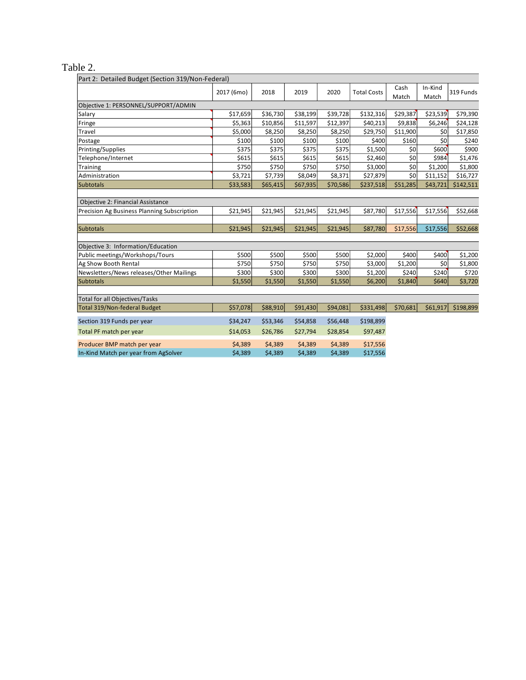# Table 2.

| Part 2: Detailed Budget (Section 319/Non-Federal) |            |          |          |          |                    |               |                  |           |
|---------------------------------------------------|------------|----------|----------|----------|--------------------|---------------|------------------|-----------|
|                                                   | 2017 (6mo) | 2018     | 2019     | 2020     | <b>Total Costs</b> | Cash<br>Match | In-Kind<br>Match | 319 Funds |
| Objective 1: PERSONNEL/SUPPORT/ADMIN              |            |          |          |          |                    |               |                  |           |
| Salary                                            | \$17,659   | \$36,730 | \$38,199 | \$39,728 | \$132,316          | \$29,387      | \$23,539         | \$79,390  |
| Fringe                                            | \$5,363    | \$10,856 | \$11,597 | \$12,397 | \$40,213           | \$9,838       | \$6,246          | \$24,128  |
| Travel                                            | \$5,000    | \$8,250  | \$8,250  | \$8,250  | \$29,750           | \$11,900      | \$0              | \$17,850  |
| Postage                                           | \$100      | \$100    | \$100    | \$100    | \$400              | \$160         | \$0              | \$240     |
| Printing/Supplies                                 | \$375      | \$375    | \$375    | \$375    | \$1,500            | 50            | \$600            | \$900     |
| Telephone/Internet                                | \$615      | \$615    | \$615    | \$615    | \$2,460            | 50            | \$984            | \$1,476   |
| Training                                          | \$750      | \$750    | \$750    | \$750    | \$3,000            | 50            | \$1,200          | \$1,800   |
| Administration                                    | \$3,721    | \$7,739  | \$8,049  | \$8,371  | \$27,879           | 50            | \$11,152         | \$16,727  |
| <b>Subtotals</b>                                  | \$33,583   | \$65,415 | \$67,935 | \$70,586 | \$237,518          | \$51,285      | \$43,721         | \$142,511 |
|                                                   |            |          |          |          |                    |               |                  |           |
| Objective 2: Financial Assistance                 |            |          |          |          |                    |               |                  |           |
| Precision Ag Business Planning Subscription       | \$21,945   | \$21,945 | \$21,945 | \$21,945 | \$87,780           | \$17,556      | \$17,556         | \$52,668  |
|                                                   |            |          |          |          |                    |               |                  |           |
| <b>Subtotals</b>                                  | \$21,945   | \$21,945 | \$21,945 | \$21,945 | \$87,780           | \$17,556      | \$17,556         | \$52,668  |
|                                                   |            |          |          |          |                    |               |                  |           |
| Objective 3: Information/Education                |            |          |          |          |                    |               |                  |           |
| Public meetings/Workshops/Tours                   | \$500      | \$500    | \$500    | \$500    | \$2,000            | \$400         | \$400            | \$1,200   |
| Ag Show Booth Rental                              | \$750      | \$750    | \$750    | \$750    | \$3,000            | \$1,200       | \$0              | \$1,800   |
| Newsletters/News releases/Other Mailings          | \$300      | \$300    | \$300    | \$300    | \$1,200            | \$240         | \$240            | \$720     |
| <b>Subtotals</b>                                  | \$1,550    | \$1,550  | \$1,550  | \$1,550  | \$6,200            | \$1,840       | \$640            | \$3,720   |
|                                                   |            |          |          |          |                    |               |                  |           |
| <b>Total for all Objectives/Tasks</b>             |            |          |          |          |                    |               |                  |           |
| Total 319/Non-federal Budget                      | \$57,078   | \$88,910 | \$91,430 | \$94,081 | \$331,498          | \$70,681      | \$61,917         | \$198,899 |
| Section 319 Funds per year                        | \$34,247   | \$53,346 | \$54,858 | \$56,448 | \$198,899          |               |                  |           |
| Total PF match per year                           | \$14,053   | \$26,786 | \$27,794 | \$28,854 | \$97,487           |               |                  |           |
| Producer BMP match per year                       | \$4,389    | \$4,389  | \$4,389  | \$4,389  | \$17,556           |               |                  |           |
| In-Kind Match per year from AgSolver              | \$4,389    | \$4,389  | \$4,389  | \$4,389  | \$17,556           |               |                  |           |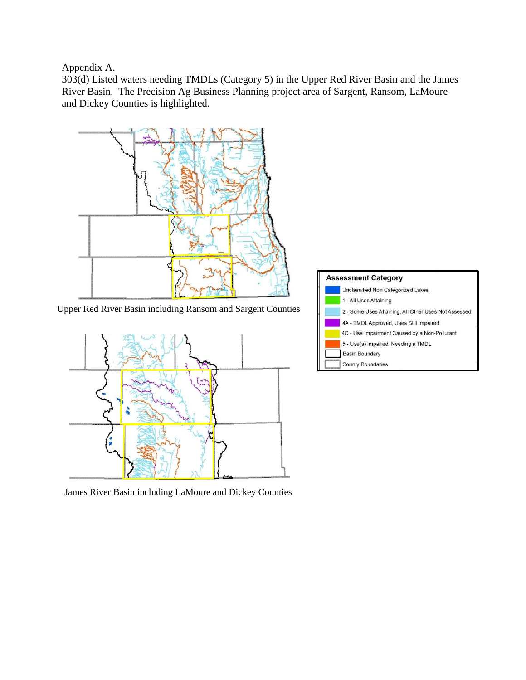Appendix A.

303(d) Listed waters needing TMDLs (Category 5) in the Upper Red River Basin and the James River Basin. The Precision Ag Business Planning project area of Sargent, Ransom, LaMoure and Dickey Counties is highlighted.



Upper Red River Basin including Ransom and Sargent Counties



James River Basin including LaMoure and Dickey Counties

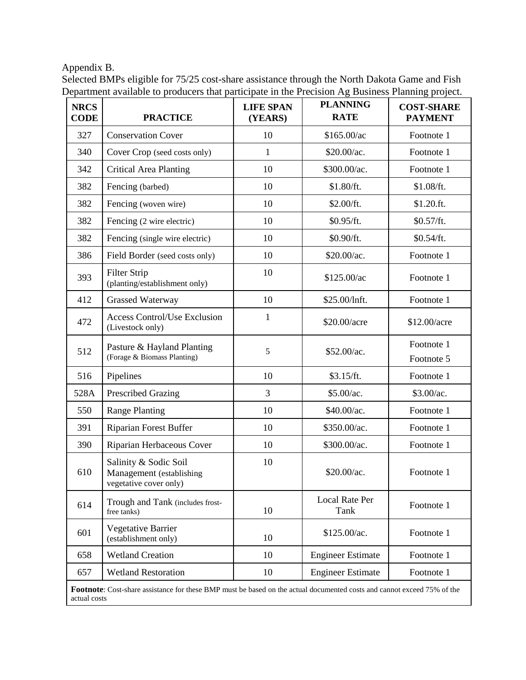Appendix B.

| Selected BMPs eligible for 75/25 cost-share assistance through the North Dakota Game and Fish     |  |  |  |  |
|---------------------------------------------------------------------------------------------------|--|--|--|--|
| Department available to producers that participate in the Precision Ag Business Planning project. |  |  |  |  |

| <b>NRCS</b><br><b>CODE</b>                                                                                                              | <b>PRACTICE</b>                                                             | <b>LIFE SPAN</b><br>(YEARS) | <b>PLANNING</b><br><b>RATE</b> | <b>COST-SHARE</b><br><b>PAYMENT</b> |  |  |
|-----------------------------------------------------------------------------------------------------------------------------------------|-----------------------------------------------------------------------------|-----------------------------|--------------------------------|-------------------------------------|--|--|
| 327                                                                                                                                     | <b>Conservation Cover</b>                                                   | 10                          | \$165.00/ac                    | Footnote 1                          |  |  |
| 340                                                                                                                                     | Cover Crop (seed costs only)                                                | $\mathbf{1}$                | \$20.00/ac.                    | Footnote 1                          |  |  |
| 342                                                                                                                                     | <b>Critical Area Planting</b>                                               | 10                          | \$300.00/ac.                   | Footnote 1                          |  |  |
| 382                                                                                                                                     | Fencing (barbed)                                                            | 10                          | \$1.80/ft.                     | \$1.08/ft.                          |  |  |
| 382                                                                                                                                     | Fencing (woven wire)                                                        | 10                          | \$2.00/ft.                     | $$1.20.$ ft.                        |  |  |
| 382                                                                                                                                     | Fencing (2 wire electric)                                                   | 10                          | \$0.95/ft.                     | \$0.57/ft.                          |  |  |
| 382                                                                                                                                     | Fencing (single wire electric)                                              | 10                          | \$0.90/ft.                     | \$0.54/ft.                          |  |  |
| 386                                                                                                                                     | Field Border (seed costs only)                                              | 10                          | \$20.00/ac.                    | Footnote 1                          |  |  |
| 393                                                                                                                                     | <b>Filter Strip</b><br>(planting/establishment only)                        | 10                          | \$125.00/ac                    | Footnote 1                          |  |  |
| 412                                                                                                                                     | <b>Grassed Waterway</b>                                                     | 10                          | \$25.00/lnft.                  | Footnote 1                          |  |  |
| 472                                                                                                                                     | <b>Access Control/Use Exclusion</b><br>(Livestock only)                     | $\mathbf{1}$                | \$20.00/acre                   | \$12.00/acre                        |  |  |
| 512                                                                                                                                     | Pasture & Hayland Planting<br>(Forage & Biomass Planting)                   | 5                           | \$52.00/ac.                    | Footnote 1<br>Footnote 5            |  |  |
| 516                                                                                                                                     | Pipelines                                                                   | 10                          | \$3.15/ft.                     | Footnote 1                          |  |  |
| 528A                                                                                                                                    | <b>Prescribed Grazing</b>                                                   | 3                           | \$5.00/ac.                     | \$3.00/ac.                          |  |  |
| 550                                                                                                                                     | <b>Range Planting</b>                                                       | 10                          | \$40.00/ac.                    | Footnote 1                          |  |  |
| 391                                                                                                                                     | <b>Riparian Forest Buffer</b>                                               | 10                          | \$350.00/ac.                   | Footnote 1                          |  |  |
| 390                                                                                                                                     | Riparian Herbaceous Cover                                                   | 10                          | \$300.00/ac.                   | Footnote 1                          |  |  |
| 610                                                                                                                                     | Salinity & Sodic Soil<br>Management (establishing<br>vegetative cover only) | 10                          | \$20.00/ac.                    | Footnote 1                          |  |  |
| 614                                                                                                                                     | Trough and Tank (includes frost-<br>free tanks)                             | 10                          | Local Rate Per<br>Tank         | Footnote 1                          |  |  |
| 601                                                                                                                                     | Vegetative Barrier<br>(establishment only)                                  | 10                          | \$125.00/ac.                   | Footnote 1                          |  |  |
| 658                                                                                                                                     | <b>Wetland Creation</b>                                                     | 10                          | <b>Engineer Estimate</b>       | Footnote 1                          |  |  |
| 657                                                                                                                                     | <b>Wetland Restoration</b>                                                  | 10                          | <b>Engineer Estimate</b>       | Footnote 1                          |  |  |
| Footnote: Cost-share assistance for these BMP must be based on the actual documented costs and cannot exceed 75% of the<br>actual costs |                                                                             |                             |                                |                                     |  |  |